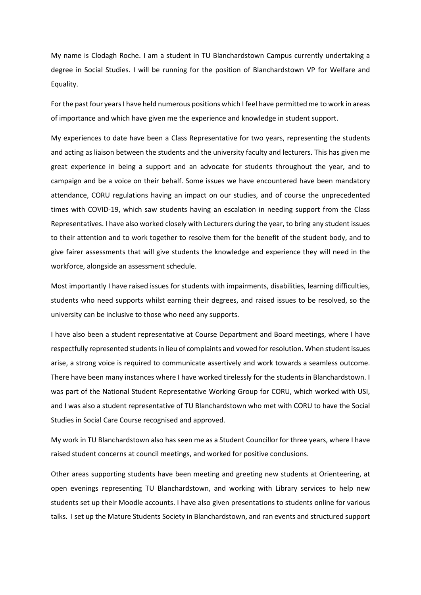My name is Clodagh Roche. I am a student in TU Blanchardstown Campus currently undertaking a degree in Social Studies. I will be running for the position of Blanchardstown VP for Welfare and Equality.

For the past four years I have held numerous positions which I feel have permitted me to work in areas of importance and which have given me the experience and knowledge in student support.

My experiences to date have been a Class Representative for two years, representing the students and acting as liaison between the students and the university faculty and lecturers. This has given me great experience in being a support and an advocate for students throughout the year, and to campaign and be a voice on their behalf. Some issues we have encountered have been mandatory attendance, CORU regulations having an impact on our studies, and of course the unprecedented times with COVID-19, which saw students having an escalation in needing support from the Class Representatives. I have also worked closely with Lecturers during the year, to bring any student issues to their attention and to work together to resolve them for the benefit of the student body, and to give fairer assessments that will give students the knowledge and experience they will need in the workforce, alongside an assessment schedule.

Most importantly I have raised issues for students with impairments, disabilities, learning difficulties, students who need supports whilst earning their degrees, and raised issues to be resolved, so the university can be inclusive to those who need any supports.

I have also been a student representative at Course Department and Board meetings, where I have respectfully represented students in lieu of complaints and vowed for resolution. When student issues arise, a strong voice is required to communicate assertively and work towards a seamless outcome. There have been many instances where I have worked tirelessly for the students in Blanchardstown. I was part of the National Student Representative Working Group for CORU, which worked with USI, and I was also a student representative of TU Blanchardstown who met with CORU to have the Social Studies in Social Care Course recognised and approved.

My work in TU Blanchardstown also has seen me as a Student Councillor for three years, where I have raised student concerns at council meetings, and worked for positive conclusions.

Other areas supporting students have been meeting and greeting new students at Orienteering, at open evenings representing TU Blanchardstown, and working with Library services to help new students set up their Moodle accounts. I have also given presentations to students online for various talks. I set up the Mature Students Society in Blanchardstown, and ran events and structured support